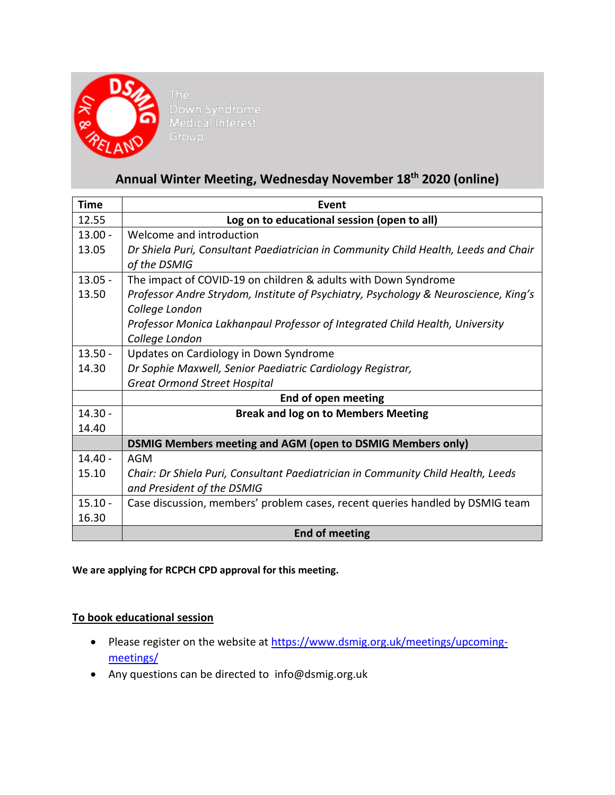

# **Annual Winter Meeting, Wednesday November 18th 2020 (online)**

| <b>Time</b> | Event                                                                                                 |
|-------------|-------------------------------------------------------------------------------------------------------|
| 12.55       | Log on to educational session (open to all)                                                           |
| $13.00 -$   | Welcome and introduction                                                                              |
| 13.05       | Dr Shiela Puri, Consultant Paediatrician in Community Child Health, Leeds and Chair<br>of the DSMIG   |
| $13.05 -$   | The impact of COVID-19 on children & adults with Down Syndrome                                        |
| 13.50       | Professor Andre Strydom, Institute of Psychiatry, Psychology & Neuroscience, King's<br>College London |
|             | Professor Monica Lakhanpaul Professor of Integrated Child Health, University                          |
|             | College London                                                                                        |
| $13.50 -$   | Updates on Cardiology in Down Syndrome                                                                |
| 14.30       | Dr Sophie Maxwell, Senior Paediatric Cardiology Registrar,                                            |
|             | <b>Great Ormond Street Hospital</b>                                                                   |
|             | End of open meeting                                                                                   |
| $14.30 -$   | <b>Break and log on to Members Meeting</b>                                                            |
| 14.40       |                                                                                                       |
|             | <b>DSMIG Members meeting and AGM (open to DSMIG Members only)</b>                                     |
| $14.40 -$   | AGM                                                                                                   |
| 15.10       | Chair: Dr Shiela Puri, Consultant Paediatrician in Community Child Health, Leeds                      |
|             | and President of the DSMIG                                                                            |
| $15.10 -$   | Case discussion, members' problem cases, recent queries handled by DSMIG team                         |
| 16.30       |                                                                                                       |
|             | <b>End of meeting</b>                                                                                 |

**We are applying for RCPCH CPD approval for this meeting.**

## **To book educational session**

- Please register on the website at [https://www.dsmig.org.uk/meetings/upcoming](https://www.dsmig.org.uk/meetings/upcoming-meetings/)[meetings/](https://www.dsmig.org.uk/meetings/upcoming-meetings/)
- Any questions can be directed to [info@dsmig.org.uk](mailto:info@dsmig.org.uk)